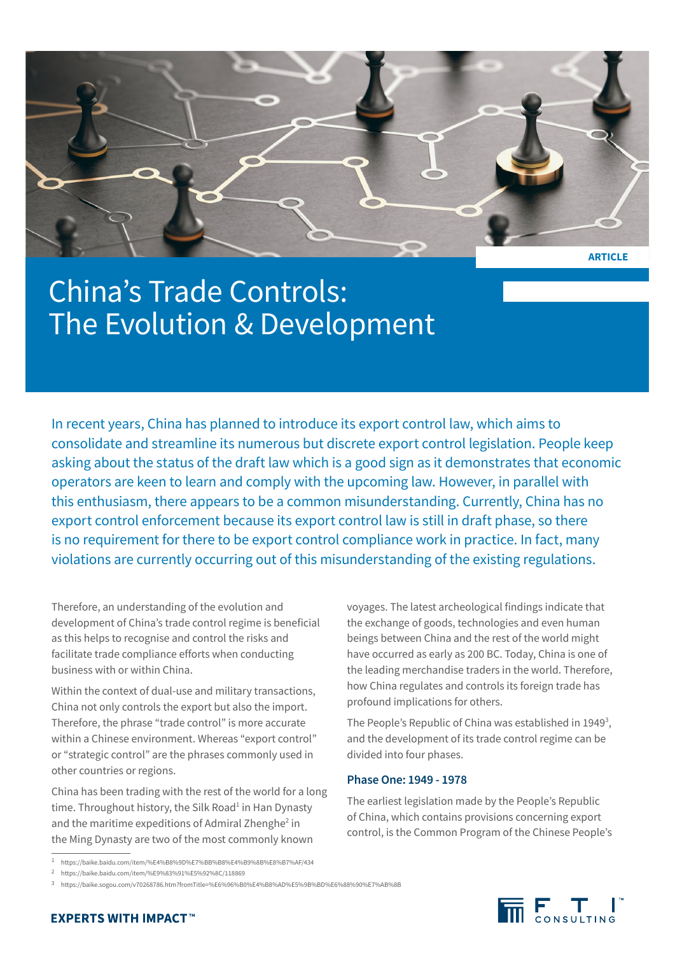

**ARTICLE**

# China's Trade Controls: The Evolution & Development

In recent years, China has planned to introduce its export control law, which aims to consolidate and streamline its numerous but discrete export control legislation. People keep asking about the status of the draft law which is a good sign as it demonstrates that economic operators are keen to learn and comply with the upcoming law. However, in parallel with this enthusiasm, there appears to be a common misunderstanding. Currently, China has no export control enforcement because its export control law is still in draft phase, so there is no requirement for there to be export control compliance work in practice. In fact, many violations are currently occurring out of this misunderstanding of the existing regulations.

Therefore, an understanding of the evolution and development of China's trade control regime is beneficial as this helps to recognise and control the risks and facilitate trade compliance efforts when conducting business with or within China.

Within the context of dual-use and military transactions, China not only controls the export but also the import. Therefore, the phrase "trade control" is more accurate within a Chinese environment. Whereas "export control" or "strategic control" are the phrases commonly used in other countries or regions.

China has been trading with the rest of the world for a long time. Throughout history, the Silk Road<sup>1</sup> in Han Dynasty and the maritime expeditions of Admiral Zhenghe<sup>2</sup> in the Ming Dynasty are two of the most commonly known

voyages. The latest archeological findings indicate that the exchange of goods, technologies and even human beings between China and the rest of the world might have occurred as early as 200 BC. Today, China is one of the leading merchandise traders in the world. Therefore, how China regulates and controls its foreign trade has profound implications for others.

The People's Republic of China was established in 1949<sup>3</sup>, and the development of its trade control regime can be divided into four phases.

### **Phase One: 1949 - 1978**

The earliest legislation made by the People's Republic of China, which contains provisions concerning export control, is the Common Program of the Chinese People's



<sup>1</sup> <https://baike.baidu.com/item/%E4%B8%9D%E7%BB%B8%E4%B9%8B%E8%B7%AF/434>

<sup>2</sup> <https://baike.baidu.com/item/%E9%83%91%E5%92%8C/118869>

<sup>3</sup> <https://baike.sogou.com/v70268786.htm?fromTitle=%E6%96%B0%E4%B8%AD%E5%9B%BD%E6%88%90%E7%AB%8B>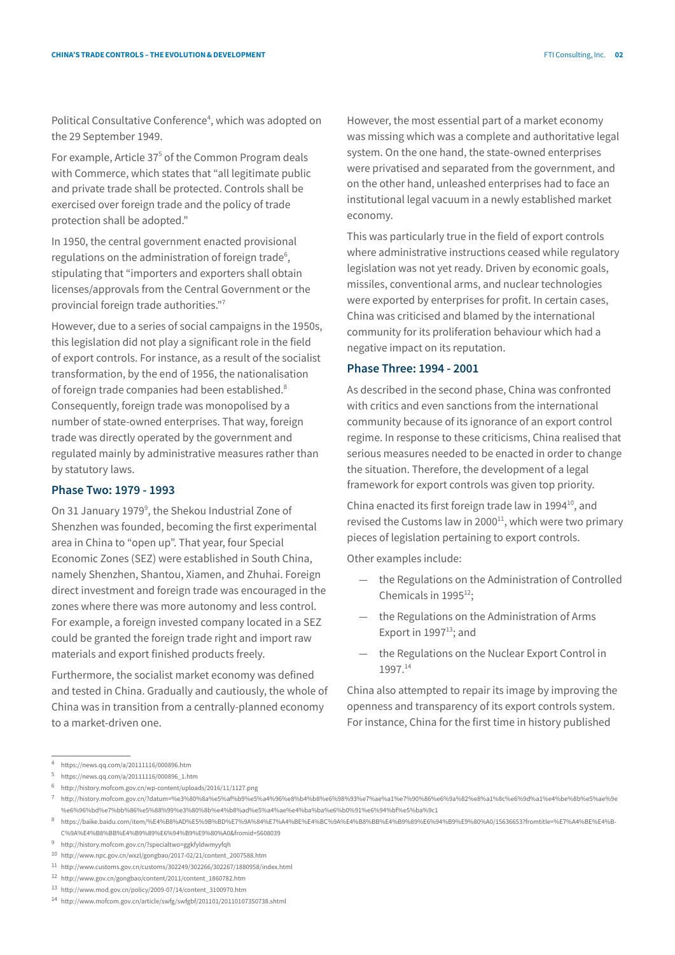Political Consultative Conference<sup>4</sup>, which was adopted on the 29 September 1949.

For example, Article 37<sup>5</sup> of the Common Program deals with Commerce, which states that "all legitimate public and private trade shall be protected. Controls shall be exercised over foreign trade and the policy of trade protection shall be adopted."

In 1950, the central government enacted provisional regulations on the administration of foreign trade<sup>6</sup>, stipulating that "importers and exporters shall obtain licenses/approvals from the Central Government or the provincial foreign trade authorities."7

However, due to a series of social campaigns in the 1950s, this legislation did not play a significant role in the field of export controls. For instance, as a result of the socialist transformation, by the end of 1956, the nationalisation of foreign trade companies had been established.<sup>8</sup> Consequently, foreign trade was monopolised by a number of state-owned enterprises. That way, foreign trade was directly operated by the government and regulated mainly by administrative measures rather than by statutory laws.

## **Phase Two: 1979 - 1993**

On 31 January 1979<sup>9</sup>, the Shekou Industrial Zone of Shenzhen was founded, becoming the first experimental area in China to "open up". That year, four Special Economic Zones (SEZ) were established in South China, namely Shenzhen, Shantou, Xiamen, and Zhuhai. Foreign direct investment and foreign trade was encouraged in the zones where there was more autonomy and less control. For example, a foreign invested company located in a SEZ could be granted the foreign trade right and import raw materials and export finished products freely.

Furthermore, the socialist market economy was defined and tested in China. Gradually and cautiously, the whole of China was in transition from a centrally-planned economy to a market-driven one.

However, the most essential part of a market economy was missing which was a complete and authoritative legal system. On the one hand, the state-owned enterprises were privatised and separated from the government, and on the other hand, unleashed enterprises had to face an institutional legal vacuum in a newly established market economy.

This was particularly true in the field of export controls where administrative instructions ceased while regulatory legislation was not yet ready. Driven by economic goals, missiles, conventional arms, and nuclear technologies were exported by enterprises for profit. In certain cases, China was criticised and blamed by the international community for its proliferation behaviour which had a negative impact on its reputation.

#### **Phase Three: 1994 - 2001**

As described in the second phase, China was confronted with critics and even sanctions from the international community because of its ignorance of an export control regime. In response to these criticisms, China realised that serious measures needed to be enacted in order to change the situation. Therefore, the development of a legal framework for export controls was given top priority.

China enacted its first foreign trade law in 1994 $^{10}$ , and revised the Customs law in  $2000<sup>11</sup>$ , which were two primary pieces of legislation pertaining to export controls.

Other examples include:

- the Regulations on the Administration of Controlled Chemicals in  $1995^{12}$ ;
- the Regulations on the Administration of Arms Export in  $1997^{13}$ ; and
- the Regulations on the Nuclear Export Control in 1997.14

China also attempted to repair its image by improving the openness and transparency of its export controls system. For instance, China for the first time in history published

<sup>4</sup> <https://news.qq.com/a/20111116/000896.htm>

<sup>5</sup> [https://news.qq.com/a/20111116/000896\\_1.htm](https://news.qq.com/a/20111116/000896_1.htm)

<sup>6</sup> <http://history.mofcom.gov.cn/wp-content/uploads/2016/11/1127.png>

<sup>7</sup> [http://history.mofcom.gov.cn/?datum=%e3%80%8a%e5%af%b9%e5%a4%96%e8%b4%b8%e6%98%93%e7%ae%a1%e7%90%86%e6%9a%82%e8%a1%8c%e6%9d%a1%e4%be%8b%e5%ae%9e](http://history.mofcom.gov.cn/?datum=%e3%80%8a%e5%af%b9%e5%a4%96%e8%b4%b8%e6%98%93%e7%ae%a1%e7%90%86%) [%e6%96%bd%e7%bb%86%e5%88%99%e3%80%8b%e4%b8%ad%e5%a4%ae%e4%ba%ba%e6%b0%91%e6%94%bf%e5%ba%9c1](http://history.mofcom.gov.cn/?datum=%e3%80%8a%e5%af%b9%e5%a4%96%e8%b4%b8%e6%98%93%e7%ae%a1%e7%90%86%)

<sup>8</sup> [https://baike.baidu.com/item/%E4%B8%AD%E5%9B%BD%E7%9A%84%E7%A4%BE%E4%BC%9A%E4%B8%BB%E4%B9%89%E6%94%B9%E9%80%A0/15636653?fromtitle=%E7%A4%BE%E4%B-](https://baike.baidu.com/item/%E4%B8%AD%E5%9B%BD%E7%9A%84%E7%A4%BE%E4%BC%9A%E4%B8%BB%E4%B9%89%E6%94%B)[C%9A%E4%B8%BB%E4%B9%89%E6%94%B9%E9%80%A0&fromid=5608039](https://baike.baidu.com/item/%E4%B8%AD%E5%9B%BD%E7%9A%84%E7%A4%BE%E4%BC%9A%E4%B8%BB%E4%B9%89%E6%94%B)

<sup>9</sup> <http://history.mofcom.gov.cn/?specialtwo=ggkfyldwmyyfqh>

<sup>10</sup> [http://www.npc.gov.cn/wxzl/gongbao/2017-02/21/content\\_2007588.htm](http://www.npc.gov.cn/wxzl/gongbao/2017-02/21/content_2007588.htm)

<sup>11</sup> <http://www.customs.gov.cn/customs/302249/302266/302267/1880958/index.html>

<sup>12</sup> [http://www.gov.cn/gongbao/content/2011/content\\_1860782.htm](http://www.gov.cn/gongbao/content/2011/content_1860782.htm)

<sup>13</sup> [http://www.mod.gov.cn/policy/2009-07/14/content\\_3100970.htm](http://www.mod.gov.cn/policy/2009-07/14/content_3100970.htm)

<sup>14</sup> <http://www.mofcom.gov.cn/article/swfg/swfgbf/201101/20110107350738.shtml>